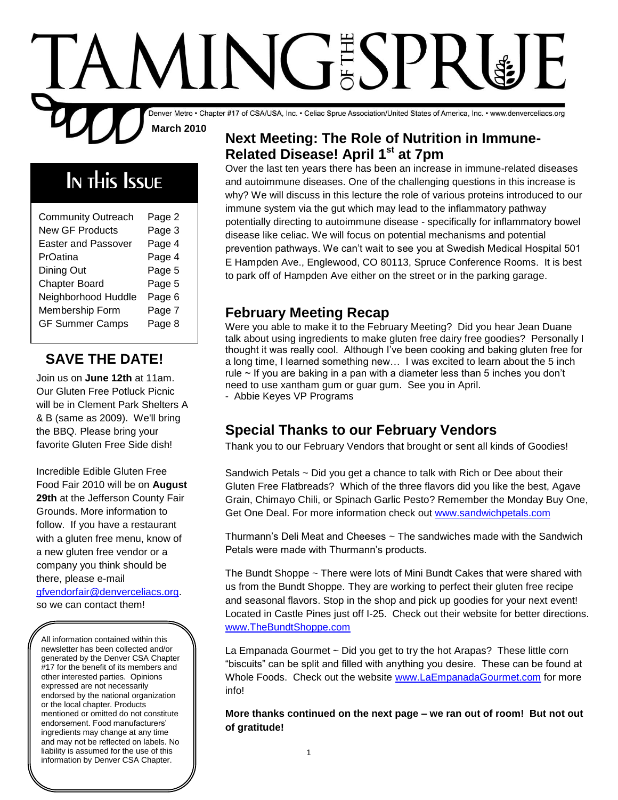# INGESPE

Denver Metro • Chapter #17 of CSA/USA, Inc. • Celiac Sprue Association/United States of America, Inc. • www.denverceliacs.org **March 2010**

## In this Issue

| <b>Community Outreach</b><br><b>New GF Products</b><br><b>Easter and Passover</b><br>PrOatina<br>Dining Out<br><b>Chapter Board</b><br>Neighborhood Huddle<br>Membership Form | Page 2<br>Page 3<br>Page 4<br>Page 4<br>Page 5<br>Page 5<br>Page 6<br>Page 7 |
|-------------------------------------------------------------------------------------------------------------------------------------------------------------------------------|------------------------------------------------------------------------------|
| <b>GF Summer Camps</b>                                                                                                                                                        | Page 8                                                                       |
|                                                                                                                                                                               |                                                                              |

#### **SAVE THE DATE!**

Join us on **June 12th** at 11am. Our Gluten Free Potluck Picnic will be in Clement Park Shelters A & B (same as 2009). We'll bring the BBQ. Please bring your favorite Gluten Free Side dish!

Incredible Edible Gluten Free Food Fair 2010 will be on **August 29th** at the Jefferson County Fair Grounds. More information to follow. If you have a restaurant with a gluten free menu, know of a new gluten free vendor or a company you think should be there, please e-mail [gfvendorfair@denverceliacs.org.](mailto:gfvendorfair@denverceliacs.org)

so we can contact them!

All information contained within this newsletter has been collected and/or generated by the Denver CSA Chapter #17 for the benefit of its members and other interested parties. Opinions expressed are not necessarily endorsed by the national organization or the local chapter. Products mentioned or omitted do not constitute endorsement. Food manufacturers' ingredients may change at any time and may not be reflected on labels. No liability is assumed for the use of this information by Denver CSA Chapter.

#### **Next Meeting: The Role of Nutrition in Immune-Related Disease! April 1st at 7pm**

Over the last ten years there has been an increase in immune-related diseases and autoimmune diseases. One of the challenging questions in this increase is why? We will discuss in this lecture the role of various proteins introduced to our immune system via the gut which may lead to the inflammatory pathway potentially directing to autoimmune disease - specifically for inflammatory bowel disease like celiac. We will focus on potential mechanisms and potential prevention pathways. We can't wait to see you at Swedish Medical Hospital 501 E Hampden Ave., Englewood, CO 80113, Spruce Conference Rooms. It is best to park off of Hampden Ave either on the street or in the parking garage.

#### **February Meeting Recap**

Were you able to make it to the February Meeting? Did you hear Jean Duane talk about using ingredients to make gluten free dairy free goodies? Personally I thought it was really cool. Although I've been cooking and baking gluten free for a long time, I learned something new… I was excited to learn about the 5 inch rule  $\sim$  If you are baking in a pan with a diameter less than 5 inches you don't need to use xantham gum or guar gum. See you in April. - Abbie Keyes VP Programs

#### **Special Thanks to our February Vendors**

Thank you to our February Vendors that brought or sent all kinds of Goodies!

Sandwich Petals  $\sim$  Did you get a chance to talk with Rich or Dee about their Gluten Free Flatbreads? Which of the three flavors did you like the best, Agave Grain, Chimayo Chili, or Spinach Garlic Pesto? Remember the Monday Buy One, Get One Deal. For more information check out [www.sandwichpetals.com](http://www.sandwichpetals.com/)

Thurmann's Deli Meat and Cheeses  $\sim$  The sandwiches made with the Sandwich Petals were made with Thurmann's products.

The Bundt Shoppe ~ There were lots of Mini Bundt Cakes that were shared with us from the Bundt Shoppe. They are working to perfect their gluten free recipe and seasonal flavors. Stop in the shop and pick up goodies for your next event! Located in Castle Pines just off I-25. Check out their website for better directions. [www.TheBundtShoppe.com](http://www.thebundtshoppe.com/)

La Empanada Gourmet ~ Did you get to try the hot Arapas? These little corn "biscuits" can be split and filled with anything you desire. These can be found at Whole Foods. Check out the website [www.LaEmpanadaGourmet.com](http://www.laempanadagourmet.com/) for more info!

**More thanks continued on the next page – we ran out of room! But not out of gratitude!**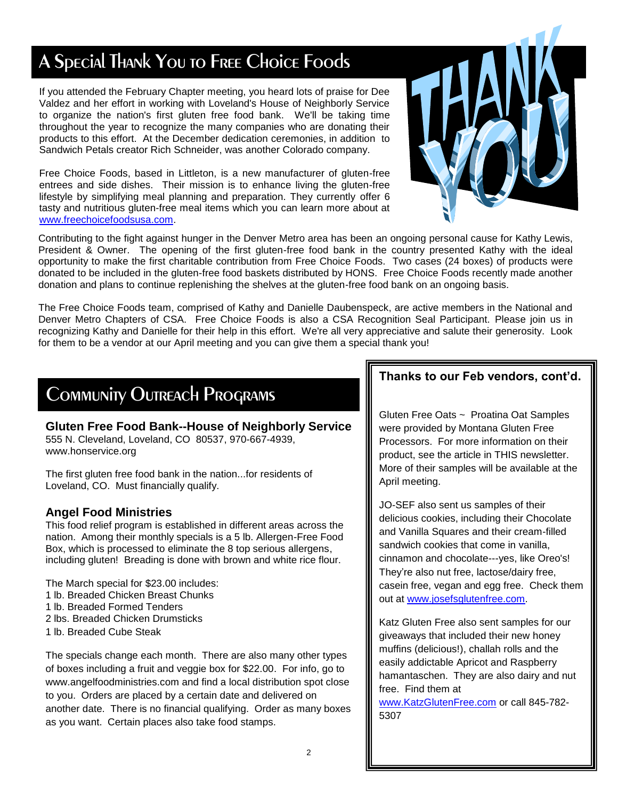## A Special Thank You to Free Choice Foods

If you attended the February Chapter meeting, you heard lots of praise for Dee Valdez and her effort in working with Loveland's House of Neighborly Service to organize the nation's first gluten free food bank. We'll be taking time throughout the year to recognize the many companies who are donating their products to this effort. At the December dedication ceremonies, in addition to Sandwich Petals creator Rich Schneider, was another Colorado company.

Free Choice Foods, based in Littleton, is a new manufacturer of gluten-free entrees and side dishes. Their mission is to enhance living the gluten-free lifestyle by simplifying meal planning and preparation. They currently offer 6 tasty and nutritious gluten-free meal items which you can learn more about at [www.freechoicefoodsusa.com.](http://www.freechoicefoodsusa.com/)



Contributing to the fight against hunger in the Denver Metro area has been an ongoing personal cause for Kathy Lewis, President & Owner. The opening of the first gluten-free food bank in the country presented Kathy with the ideal opportunity to make the first charitable contribution from Free Choice Foods. Two cases (24 boxes) of products were donated to be included in the gluten-free food baskets distributed by HONS. Free Choice Foods recently made another donation and plans to continue replenishing the shelves at the gluten-free food bank on an ongoing basis.

The Free Choice Foods team, comprised of Kathy and Danielle Daubenspeck, are active members in the National and Denver Metro Chapters of CSA. Free Choice Foods is also a CSA Recognition Seal Participant. Please join us in recognizing Kathy and Danielle for their help in this effort. We're all very appreciative and salute their generosity. Look for them to be a vendor at our April meeting and you can give them a special thank you!

## Community Outreach Programs

**Gluten Free Food Bank--House of Neighborly Service** 555 N. Cleveland, Loveland, CO 80537, 970-667-4939, www.honservice.org

The first gluten free food bank in the nation...for residents of Loveland, CO. Must financially qualify.

#### **Angel Food Ministries**

This food relief program is established in different areas across the nation. Among their monthly specials is a 5 lb. Allergen-Free Food Box, which is processed to eliminate the 8 top serious allergens, including gluten! Breading is done with brown and white rice flour.

The March special for \$23.00 includes:

- 1 lb. Breaded Chicken Breast Chunks
- 1 lb. Breaded Formed Tenders
- 2 lbs. Breaded Chicken Drumsticks
- 1 lb. Breaded Cube Steak

The specials change each month. There are also many other types of boxes including a fruit and veggie box for \$22.00. For info, go to www.angelfoodministries.com and find a local distribution spot close to you. Orders are placed by a certain date and delivered on another date. There is no financial qualifying. Order as many boxes as you want. Certain places also take food stamps.

#### **Thanks to our Feb vendors, cont'd.**

Gluten Free Oats ~ Proatina Oat Samples were provided by Montana Gluten Free Processors. For more information on their product, see the article in THIS newsletter. More of their samples will be available at the April meeting.

JO-SEF also sent us samples of their delicious cookies, including their Chocolate and Vanilla Squares and their cream-filled sandwich cookies that come in vanilla, cinnamon and chocolate---yes, like Oreo's! They're also nut free, lactose/dairy free, casein free, vegan and egg free. Check them out at [www.josefsglutenfree.com.](http://www.josefsglutenfree.com/)

Katz Gluten Free also sent samples for our giveaways that included their new honey muffins (delicious!), challah rolls and the easily addictable Apricot and Raspberry hamantaschen. They are also dairy and nut free. Find them at

[www.KatzGlutenFree.com](http://www.katzglutenfree.com/) or call 845-782- 5307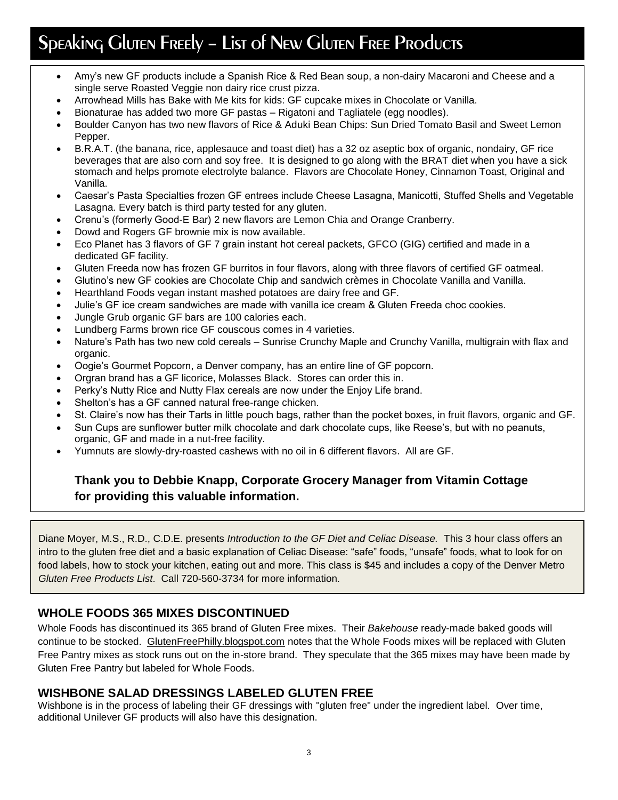## Speaking Gluten Freely - List of New Gluten Free Products

- Amy's new GF products include a Spanish Rice & Red Bean soup, a non-dairy Macaroni and Cheese and a single serve Roasted Veggie non dairy rice crust pizza.
- Arrowhead Mills has Bake with Me kits for kids: GF cupcake mixes in Chocolate or Vanilla.
- Bionaturae has added two more GF pastas Rigatoni and Tagliatele (egg noodles).
- Boulder Canyon has two new flavors of Rice & Aduki Bean Chips: Sun Dried Tomato Basil and Sweet Lemon Pepper.
- B.R.A.T. (the banana, rice, applesauce and toast diet) has a 32 oz aseptic box of organic, nondairy, GF rice beverages that are also corn and soy free. It is designed to go along with the BRAT diet when you have a sick stomach and helps promote electrolyte balance. Flavors are Chocolate Honey, Cinnamon Toast, Original and Vanilla.
- Caesar's Pasta Specialties frozen GF entrees include Cheese Lasagna, Manicotti, Stuffed Shells and Vegetable Lasagna. Every batch is third party tested for any gluten.
- Crenu's (formerly Good-E Bar) 2 new flavors are Lemon Chia and Orange Cranberry.
- Dowd and Rogers GF brownie mix is now available.
- Eco Planet has 3 flavors of GF 7 grain instant hot cereal packets, GFCO (GIG) certified and made in a dedicated GF facility.
- Gluten Freeda now has frozen GF burritos in four flavors, along with three flavors of certified GF oatmeal.
- Glutino's new GF cookies are Chocolate Chip and sandwich crèmes in Chocolate Vanilla and Vanilla.
- Hearthland Foods vegan instant mashed potatoes are dairy free and GF.
- Julie's GF ice cream sandwiches are made with vanilla ice cream & Gluten Freeda choc cookies.
- Jungle Grub organic GF bars are 100 calories each.
- Lundberg Farms brown rice GF couscous comes in 4 varieties.
- Nature's Path has two new cold cereals Sunrise Crunchy Maple and Crunchy Vanilla, multigrain with flax and organic.
- Oogie's Gourmet Popcorn, a Denver company, has an entire line of GF popcorn.
- Orgran brand has a GF licorice, Molasses Black. Stores can order this in.
- Perky's Nutty Rice and Nutty Flax cereals are now under the Enjoy Life brand.
- Shelton's has a GF canned natural free-range chicken.
- St. Claire's now has their Tarts in little pouch bags, rather than the pocket boxes, in fruit flavors, organic and GF.
- Sun Cups are sunflower butter milk chocolate and dark chocolate cups, like Reese's, but with no peanuts, organic, GF and made in a nut-free facility.
- Yumnuts are slowly-dry-roasted cashews with no oil in 6 different flavors. All are GF.

#### **Thank you to Debbie Knapp, Corporate Grocery Manager from Vitamin Cottage for providing this valuable information.**

Diane Moyer, M.S., R.D., C.D.E. presents *Introduction to the GF Diet and Celiac Disease.* This 3 hour class offers an intro to the gluten free diet and a basic explanation of Celiac Disease: "safe" foods, "unsafe" foods, what to look for on food labels, how to stock your kitchen, eating out and more. This class is \$45 and includes a copy of the Denver Metro *Gluten Free Products List*. Call 720-560-3734 for more information.

#### **WHOLE FOODS 365 MIXES DISCONTINUED**

Whole Foods has discontinued its 365 brand of Gluten Free mixes. Their *Bakehouse* ready-made baked goods will continue to be stocked. GlutenFreePhilly.blogspot.com notes that the Whole Foods mixes will be replaced with Gluten Free Pantry mixes as stock runs out on the in-store brand. They speculate that the 365 mixes may have been made by Gluten Free Pantry but labeled for Whole Foods.

#### **WISHBONE SALAD DRESSINGS LABELED GLUTEN FREE**

Wishbone is in the process of labeling their GF dressings with "gluten free" under the ingredient label. Over time, additional Unilever GF products will also have this designation.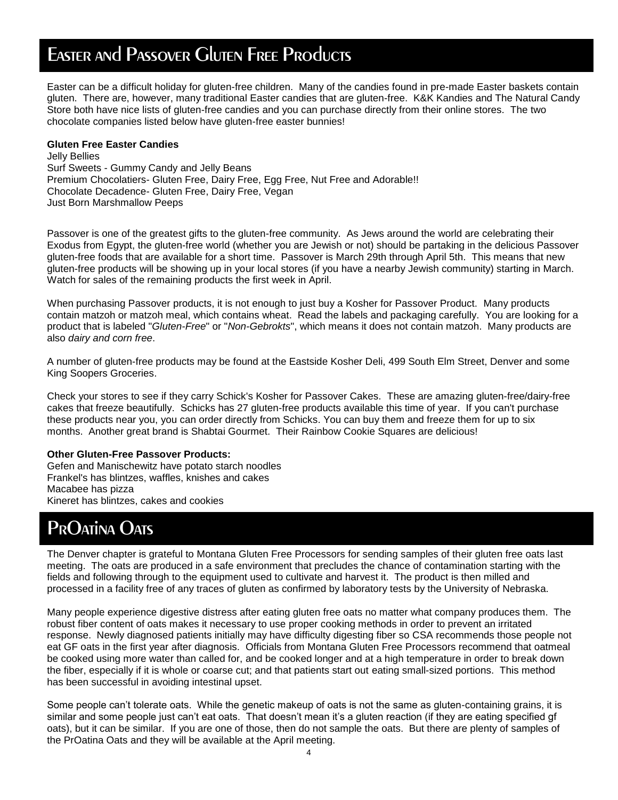## Easter and Passover Gluten Free Products

Easter can be a difficult holiday for gluten-free children. Many of the candies found in pre-made Easter baskets contain gluten. There are, however, many traditional Easter candies that are gluten-free. K&K Kandies and The Natural Candy Store both have nice lists of gluten-free candies and you can purchase directly from their online stores. The two chocolate companies listed below have gluten-free easter bunnies!

#### **Gluten Free Easter Candies**

Jelly Bellies Surf Sweets - Gummy Candy and Jelly Beans Premium Chocolatiers- Gluten Free, Dairy Free, Egg Free, Nut Free and Adorable!! Chocolate Decadence- Gluten Free, Dairy Free, Vegan Just Born Marshmallow Peeps

Passover is one of the greatest gifts to the gluten-free community. As Jews around the world are celebrating their Exodus from Egypt, the gluten-free world (whether you are Jewish or not) should be partaking in the delicious Passover gluten-free foods that are available for a short time. Passover is March 29th through April 5th. This means that new gluten-free products will be showing up in your local stores (if you have a nearby Jewish community) starting in March. Watch for sales of the remaining products the first week in April.

When purchasing Passover products, it is not enough to just buy a Kosher for Passover Product. Many products contain matzoh or matzoh meal, which contains wheat. Read the labels and packaging carefully. You are looking for a product that is labeled "*Gluten-Free*" or "*Non-Gebrokts*", which means it does not contain matzoh. Many products are also *dairy and corn free*.

A number of gluten-free products may be found at the Eastside Kosher Deli, 499 South Elm Street, Denver and some King Soopers Groceries.

Check your stores to see if they carry Schick's Kosher for Passover Cakes. These are amazing gluten-free/dairy-free cakes that freeze beautifully. Schicks has 27 gluten-free products available this time of year. If you can't purchase these products near you, you can order directly from Schicks. You can buy them and freeze them for up to six months. Another great brand is Shabtai Gourmet. Their Rainbow Cookie Squares are delicious!

#### **Other Gluten-Free Passover Products:**

Gefen and Manischewitz have potato starch noodles Frankel's has blintzes, waffles, knishes and cakes Macabee has pizza Kineret has blintzes, cakes and cookies

## PrOatina Oats

The Denver chapter is grateful to Montana Gluten Free Processors for sending samples of their gluten free oats last meeting. The oats are produced in a safe environment that precludes the chance of contamination starting with the fields and following through to the equipment used to cultivate and harvest it. The product is then milled and processed in a facility free of any traces of gluten as confirmed by laboratory tests by the University of Nebraska.

Many people experience digestive distress after eating gluten free oats no matter what company produces them. The robust fiber content of oats makes it necessary to use proper cooking methods in order to prevent an irritated response. Newly diagnosed patients initially may have difficulty digesting fiber so CSA recommends those people not eat GF oats in the first year after diagnosis. Officials from Montana Gluten Free Processors recommend that oatmeal be cooked using more water than called for, and be cooked longer and at a high temperature in order to break down the fiber, especially if it is whole or coarse cut; and that patients start out eating small-sized portions. This method has been successful in avoiding intestinal upset.

Some people can't tolerate oats. While the genetic makeup of oats is not the same as gluten-containing grains, it is similar and some people just can't eat oats. That doesn't mean it's a gluten reaction (if they are eating specified gf oats), but it can be similar. If you are one of those, then do not sample the oats. But there are plenty of samples of the PrOatina Oats and they will be available at the April meeting.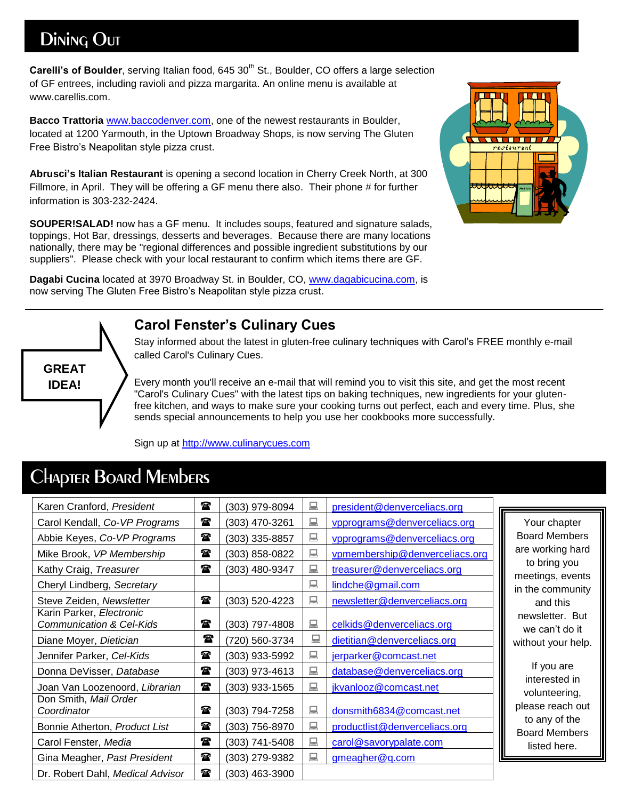## Dining Out

**Carelli's of Boulder**, serving Italian food, 645 30<sup>th</sup> St., Boulder, CO offers a large selection of GF entrees, including ravioli and pizza margarita. An online menu is available at www.carellis.com.

**Bacco Trattoria** [www.baccodenver.com,](http://www.baccodenver.com/) one of the newest restaurants in Boulder, located at 1200 Yarmouth, in the Uptown Broadway Shops, is now serving The Gluten Free Bistro's Neapolitan style pizza crust.

**Abrusci's Italian Restaurant** is opening a second location in Cherry Creek North, at 300 Fillmore, in April. They will be offering a GF menu there also. Their phone # for further information is 303-232-2424.

**SOUPER!SALAD!** now has a GF menu. It includes soups, featured and signature salads, toppings, Hot Bar, dressings, desserts and beverages. Because there are many locations nationally, there may be "regional differences and possible ingredient substitutions by our suppliers". Please check with your local restaurant to confirm which items there are GF.

**Dagabi Cucina** located at 3970 Broadway St. in Boulder, CO, [www.dagabicucina.com,](http://www.dagabicucina.com/) is now serving The Gluten Free Bistro's Neapolitan style pizza crust.

## $\blacksquare$ restauran

## **GREAT IDEA!**

#### **Carol Fenster's Culinary Cues**

Stay informed about the latest in gluten-free culinary techniques with Carol's FREE monthly e-mail called Carol's Culinary Cues.

Every month you'll receive an e-mail that will remind you to visit this site, and get the most recent "Carol's Culinary Cues" with the latest tips on baking techniques, new ingredients for your glutenfree kitchen, and ways to make sure your cooking turns out perfect, each and every time. Plus, she sends special announcements to help you use her cookbooks more successfully.

Sign up at [http://www.culinarycues.com](http://www.culinarycues.com/)

| Karen Cranford, President                                       | 雷            | (303) 979-8094 | 鳳 | president@denverceliacs.org    |                                       |
|-----------------------------------------------------------------|--------------|----------------|---|--------------------------------|---------------------------------------|
| Carol Kendall, Co-VP Programs                                   | 雷            | (303) 470-3261 | 鳳 | vpprograms@denverceliacs.org   | Your chapter                          |
| Abbie Keyes, Co-VP Programs                                     | t            | (303) 335-8857 | 鳳 | vpprograms@denverceliacs.org   | <b>Board Members</b>                  |
| Mike Brook, VP Membership                                       | 雷            | (303) 858-0822 | 鳳 | vpmembership@denverceliacs.org | are working hard                      |
| Kathy Craig, Treasurer                                          | 雷            | (303) 480-9347 | 鳳 | treasurer@denverceliacs.org    | to bring you<br>meetings, events      |
| Cheryl Lindberg, Secretary                                      |              |                | 鳳 | lindche@gmail.com              | in the community                      |
| Steve Zeiden, Newsletter                                        | $\mathbf{r}$ | (303) 520-4223 | 鳳 | newsletter@denverceliacs.org   | and this                              |
| Karin Parker, Electronic<br><b>Communication &amp; Cel-Kids</b> | 雷            | (303) 797-4808 | 鳳 | celkids@denverceliacs.org      | newsletter. But<br>we can't do it     |
| Diane Moyer, Dietician                                          | 雷            | (720) 560-3734 | 鳳 | dietitian@denverceliacs.org    | without your help.                    |
| Jennifer Parker, Cel-Kids                                       | t            | (303) 933-5992 | 鳳 | jerparker@comcast.net          |                                       |
| Donna DeVisser, Database                                        | t            | (303) 973-4613 | 鳳 | database@denverceliacs.org     | If you are                            |
| Joan Van Loozenoord, Librarian                                  | t            | (303) 933-1565 | 鳳 | jkvanlooz@comcast.net          | interested in<br>volunteering,        |
| Don Smith, Mail Order<br>Coordinator                            | t            | (303) 794-7258 | 鳳 | donsmith6834@comcast.net       | please reach out                      |
| Bonnie Atherton, Product List                                   | 雷            | (303) 756-8970 | 鳳 | productlist@denverceliacs.org  | to any of the<br><b>Board Members</b> |
| Carol Fenster, Media                                            | t            | (303) 741-5408 | 鳳 | carol@savorypalate.com         | listed here.                          |
| Gina Meagher, Past President                                    | t            | (303) 279-9382 | 鳳 | gmeagher@q.com                 |                                       |
| Dr. Robert Dahl, Medical Advisor                                | $\mathbf{r}$ | (303) 463-3900 |   |                                |                                       |

## Chapter Board Members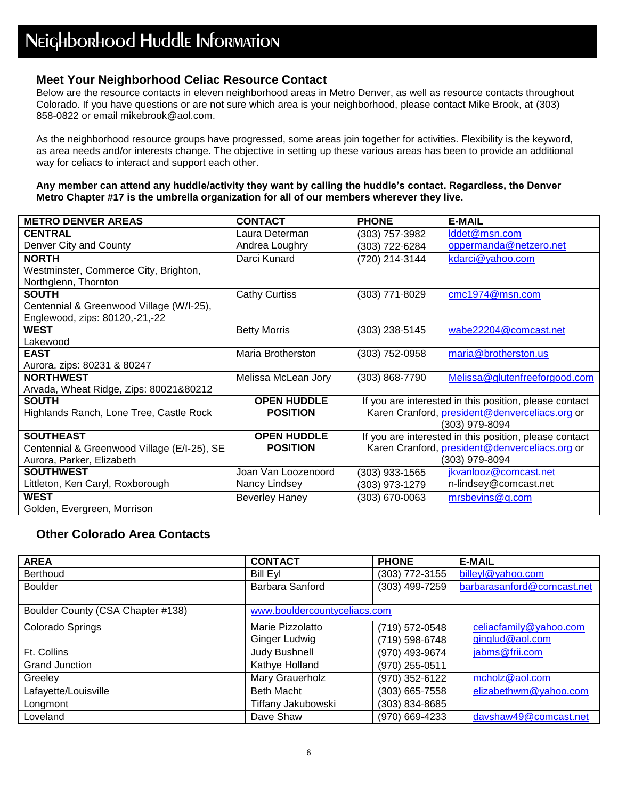#### **Meet Your Neighborhood Celiac Resource Contact**

Below are the resource contacts in eleven neighborhood areas in Metro Denver, as well as resource contacts throughout Colorado. If you have questions or are not sure which area is your neighborhood, please contact Mike Brook, at (303) 858-0822 or email mikebrook@aol.com.

As the neighborhood resource groups have progressed, some areas join together for activities. Flexibility is the keyword, as area needs and/or interests change. The objective in setting up these various areas has been to provide an additional way for celiacs to interact and support each other.

#### **Any member can attend any huddle/activity they want by calling the huddle's contact. Regardless, the Denver Metro Chapter #17 is the umbrella organization for all of our members wherever they live.**

| <b>METRO DENVER AREAS</b>                   | <b>CONTACT</b>        | <b>PHONE</b>   | <b>E-MAIL</b>                                          |
|---------------------------------------------|-----------------------|----------------|--------------------------------------------------------|
| <b>CENTRAL</b>                              | Laura Determan        | (303) 757-3982 | Iddet@msn.com                                          |
| Denver City and County                      | Andrea Loughry        | (303) 722-6284 | oppermanda@netzero.net                                 |
| <b>NORTH</b>                                | Darci Kunard          | (720) 214-3144 | kdarci@yahoo.com                                       |
| Westminster, Commerce City, Brighton,       |                       |                |                                                        |
| Northglenn, Thornton                        |                       |                |                                                        |
| <b>SOUTH</b>                                | <b>Cathy Curtiss</b>  | (303) 771-8029 | cmc1974@msn.com                                        |
| Centennial & Greenwood Village (W/I-25),    |                       |                |                                                        |
| Englewood, zips: 80120,-21,-22              |                       |                |                                                        |
| <b>WEST</b>                                 | <b>Betty Morris</b>   | (303) 238-5145 | wabe22204@comcast.net                                  |
| Lakewood                                    |                       |                |                                                        |
| <b>EAST</b>                                 | Maria Brotherston     | (303) 752-0958 | maria@brotherston.us                                   |
| Aurora, zips: 80231 & 80247                 |                       |                |                                                        |
| <b>NORTHWEST</b>                            | Melissa McLean Jory   | (303) 868-7790 | Melissa@glutenfreeforgood.com                          |
| Arvada, Wheat Ridge, Zips: 80021&80212      |                       |                |                                                        |
| <b>SOUTH</b>                                | <b>OPEN HUDDLE</b>    |                | If you are interested in this position, please contact |
| Highlands Ranch, Lone Tree, Castle Rock     | <b>POSITION</b>       |                | Karen Cranford, president@denverceliacs.org or         |
|                                             |                       |                | (303) 979-8094                                         |
| <b>SOUTHEAST</b>                            | <b>OPEN HUDDLE</b>    |                | If you are interested in this position, please contact |
| Centennial & Greenwood Village (E/I-25), SE | <b>POSITION</b>       |                | Karen Cranford, president@denverceliacs.org or         |
| Aurora, Parker, Elizabeth                   |                       |                | (303) 979-8094                                         |
| <b>SOUTHWEST</b>                            | Joan Van Loozenoord   | (303) 933-1565 | jkvanlooz@comcast.net                                  |
| Littleton, Ken Caryl, Roxborough            | Nancy Lindsey         | (303) 973-1279 | n-lindsey@comcast.net                                  |
| <b>WEST</b>                                 | <b>Beverley Haney</b> | (303) 670-0063 | mrsbevins@q.com                                        |
| Golden, Evergreen, Morrison                 |                       |                |                                                        |

#### **Other Colorado Area Contacts**

| <b>AREA</b>                       | <b>CONTACT</b>               | <b>PHONE</b>   | <b>E-MAIL</b>              |
|-----------------------------------|------------------------------|----------------|----------------------------|
| Berthoud                          | <b>Bill Eyl</b>              | (303) 772-3155 | billeyl@yahoo.com          |
| <b>Boulder</b>                    | Barbara Sanford              | (303) 499-7259 | barbarasanford@comcast.net |
|                                   |                              |                |                            |
| Boulder County (CSA Chapter #138) | www.bouldercountyceliacs.com |                |                            |
| Colorado Springs                  | Marie Pizzolatto             | (719) 572-0548 | celiacfamily@yahoo.com     |
|                                   | Ginger Ludwig                | (719) 598-6748 | ginglud@aol.com            |
| Ft. Collins                       | Judy Bushnell                | (970) 493-9674 | jabms@frii.com             |
| <b>Grand Junction</b>             | Kathye Holland               | (970) 255-0511 |                            |
| Greeley                           | Mary Grauerholz              | (970) 352-6122 | mcholz@aol.com             |
| Lafayette/Louisville              | <b>Beth Macht</b>            | (303) 665-7558 | elizabethwm@yahoo.com      |
| Longmont                          | Tiffany Jakubowski           | (303) 834-8685 |                            |
| Loveland                          | Dave Shaw                    | (970) 669-4233 | davshaw49@comcast.net      |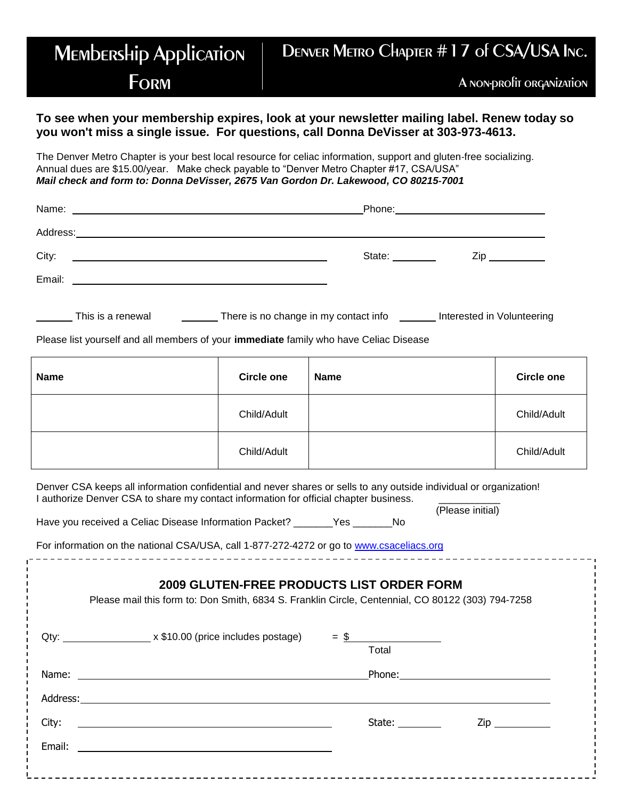#### **MEMbERSHip Application FORM** Denver Metro Chapter #17 of CSA/USA Inc. A non-profit organization

#### **To see when your membership expires, look at your newsletter mailing label. Renew today so you won't miss a single issue. For questions, call Donna DeVisser at 303-973-4613.**

The Denver Metro Chapter is your best local resource for celiac information, support and gluten‐free socializing. Annual dues are \$15.00/year. Make check payable to "Denver Metro Chapter #17, CSA/USA" *Mail check and form to: Donna DeVisser, 2675 Van Gordon Dr. Lakewood, CO 80215‐7001*

| Name:<br><u> 1989 - Johann Harry Harry Harry Harry Harry Harry Harry Harry Harry Harry Harry Harry Harry Harry Harry Harry</u>    |                 |                     |
|-----------------------------------------------------------------------------------------------------------------------------------|-----------------|---------------------|
| Address:<br><u> 1989 - Johann Harry Harry Harry Harry Harry Harry Harry Harry Harry Harry Harry Harry Harry Harry Harry Harry</u> |                 |                     |
| City:                                                                                                                             | State: ________ | $\mathsf{Zip} \_\_$ |
| Email:<br><u> 1989 - John Stein, mars and de film and de film and de film and de film and de film and de film and de film a</u>   |                 |                     |
|                                                                                                                                   |                 |                     |

| There is no change in my contact info<br>Interested in Volunteering<br>This is a renewal |  |
|------------------------------------------------------------------------------------------|--|
|------------------------------------------------------------------------------------------|--|

Please list yourself and all members of your **immediate** family who have Celiac Disease

| <b>Name</b> | <b>Circle one</b> | <b>Name</b> | <b>Circle one</b> |
|-------------|-------------------|-------------|-------------------|
|             | Child/Adult       |             | Child/Adult       |
|             | Child/Adult       |             | Child/Adult       |

Denver CSA keeps all information confidential and never shares or sells to any outside individual or organization! I authorize Denver CSA to share my contact information for official chapter business.

(Please initial) Have you received a Celiac Disease Information Packet? \_\_\_\_\_\_\_Yes \_\_\_\_\_\_\_No

For information on the national CSA/USA, call 1‐877‐272‐4272 or go to [www.csaceliacs.org](http://www.csaceliacs.org/)

|       | <b>2009 GLUTEN-FREE PRODUCTS LIST ORDER FORM</b><br>Please mail this form to: Don Smith, 6834 S. Franklin Circle, Centennial, CO 80122 (303) 794-7258 |                      |                     |
|-------|-------------------------------------------------------------------------------------------------------------------------------------------------------|----------------------|---------------------|
|       | Qty: $\frac{1}{2}$ x \$10.00 (price includes postage) = $\frac{1}{2}$                                                                                 | Total                |                     |
|       |                                                                                                                                                       |                      |                     |
|       |                                                                                                                                                       |                      |                     |
| City: |                                                                                                                                                       | State: $\frac{1}{2}$ | $\mathsf{Zip} \_\_$ |
|       |                                                                                                                                                       |                      |                     |
|       |                                                                                                                                                       |                      |                     |